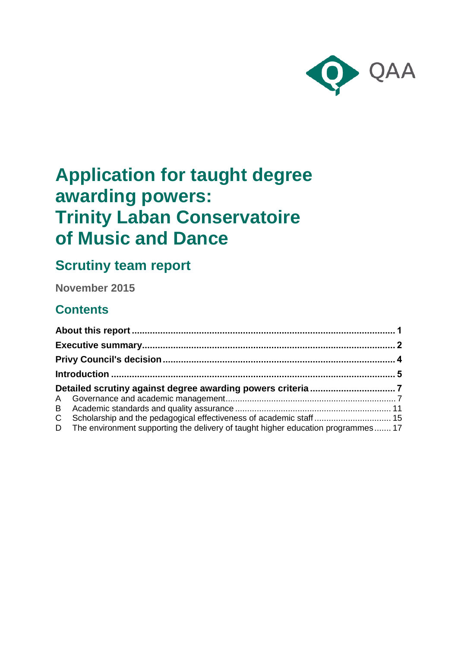

# **Application for taught degree awarding powers: Trinity Laban Conservatoire of Music and Dance**

# **Scrutiny team report**

**November 2015**

# **Contents**

|  | C Scholarship and the pedagogical effectiveness of academic staff  15              |  |
|--|------------------------------------------------------------------------------------|--|
|  | D The environment supporting the delivery of taught higher education programmes 17 |  |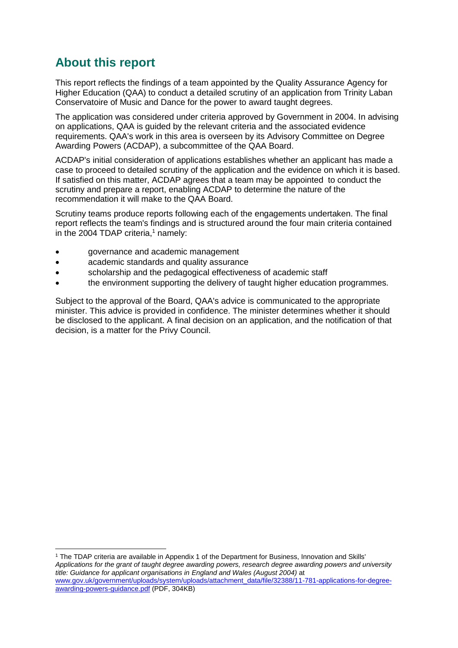# <span id="page-1-0"></span>**About this report**

-

This report reflects the findings of a team appointed by the Quality Assurance Agency for Higher Education (QAA) to conduct a detailed scrutiny of an application from Trinity Laban Conservatoire of Music and Dance for the power to award taught degrees.

The application was considered under criteria approved by Government in 2004. In advising on applications, QAA is guided by the relevant criteria and the associated evidence requirements. QAA's work in this area is overseen by its Advisory Committee on Degree Awarding Powers (ACDAP), a subcommittee of the QAA Board.

ACDAP's initial consideration of applications establishes whether an applicant has made a case to proceed to detailed scrutiny of the application and the evidence on which it is based. If satisfied on this matter, ACDAP agrees that a team may be appointed to conduct the scrutiny and prepare a report, enabling ACDAP to determine the nature of the recommendation it will make to the QAA Board.

Scrutiny teams produce reports following each of the engagements undertaken. The final report reflects the team's findings and is structured around the four main criteria contained in the 2004 TDAP criteria, $1$  namely:

- governance and academic management
- academic standards and quality assurance
- scholarship and the pedagogical effectiveness of academic staff
- the environment supporting the delivery of taught higher education programmes.

Subject to the approval of the Board, QAA's advice is communicated to the appropriate minister. This advice is provided in confidence. The minister determines whether it should be disclosed to the applicant. A final decision on an application, and the notification of that decision, is a matter for the Privy Council.

<sup>1</sup> The TDAP criteria are available in Appendix 1 of the Department for Business, Innovation and Skills' *Applications for the grant of taught degree awarding powers, research degree awarding powers and university title: Guidance for applicant organisations in England and Wales (August 2004)* at [www.gov.uk/government/uploads/system/uploads/attachment\\_data/file/32388/11-781-applications-for-degree](http://www.gov.uk/government/uploads/system/uploads/attachment_data/file/32388/11-781-applications-for-degree-awarding-powers-guidance.pdf)[awarding-powers-guidance.pdf](http://www.gov.uk/government/uploads/system/uploads/attachment_data/file/32388/11-781-applications-for-degree-awarding-powers-guidance.pdf) (PDF, 304KB)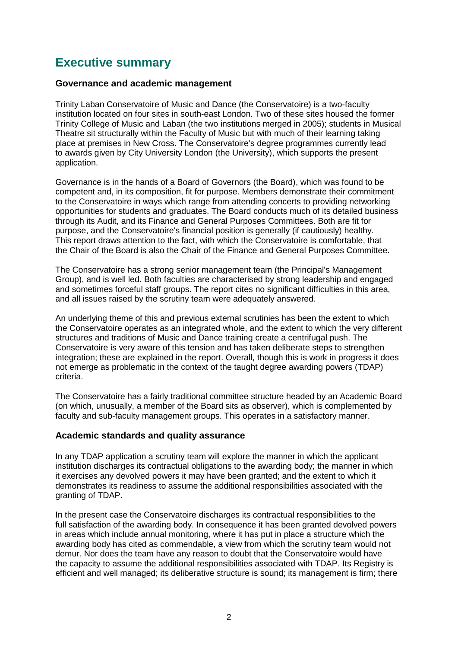# <span id="page-2-0"></span>**Executive summary**

#### **Governance and academic management**

Trinity Laban Conservatoire of Music and Dance (the Conservatoire) is a two-faculty institution located on four sites in south-east London. Two of these sites housed the former Trinity College of Music and Laban (the two institutions merged in 2005); students in Musical Theatre sit structurally within the Faculty of Music but with much of their learning taking place at premises in New Cross. The Conservatoire's degree programmes currently lead to awards given by City University London (the University), which supports the present application.

Governance is in the hands of a Board of Governors (the Board), which was found to be competent and, in its composition, fit for purpose. Members demonstrate their commitment to the Conservatoire in ways which range from attending concerts to providing networking opportunities for students and graduates. The Board conducts much of its detailed business through its Audit, and its Finance and General Purposes Committees. Both are fit for purpose, and the Conservatoire's financial position is generally (if cautiously) healthy. This report draws attention to the fact, with which the Conservatoire is comfortable, that the Chair of the Board is also the Chair of the Finance and General Purposes Committee.

The Conservatoire has a strong senior management team (the Principal's Management Group), and is well led. Both faculties are characterised by strong leadership and engaged and sometimes forceful staff groups. The report cites no significant difficulties in this area, and all issues raised by the scrutiny team were adequately answered.

An underlying theme of this and previous external scrutinies has been the extent to which the Conservatoire operates as an integrated whole, and the extent to which the very different structures and traditions of Music and Dance training create a centrifugal push. The Conservatoire is very aware of this tension and has taken deliberate steps to strengthen integration; these are explained in the report. Overall, though this is work in progress it does not emerge as problematic in the context of the taught degree awarding powers (TDAP) criteria.

The Conservatoire has a fairly traditional committee structure headed by an Academic Board (on which, unusually, a member of the Board sits as observer), which is complemented by faculty and sub-faculty management groups. This operates in a satisfactory manner.

#### **Academic standards and quality assurance**

In any TDAP application a scrutiny team will explore the manner in which the applicant institution discharges its contractual obligations to the awarding body; the manner in which it exercises any devolved powers it may have been granted; and the extent to which it demonstrates its readiness to assume the additional responsibilities associated with the granting of TDAP.

In the present case the Conservatoire discharges its contractual responsibilities to the full satisfaction of the awarding body. In consequence it has been granted devolved powers in areas which include annual monitoring, where it has put in place a structure which the awarding body has cited as commendable, a view from which the scrutiny team would not demur. Nor does the team have any reason to doubt that the Conservatoire would have the capacity to assume the additional responsibilities associated with TDAP. Its Registry is efficient and well managed; its deliberative structure is sound; its management is firm; there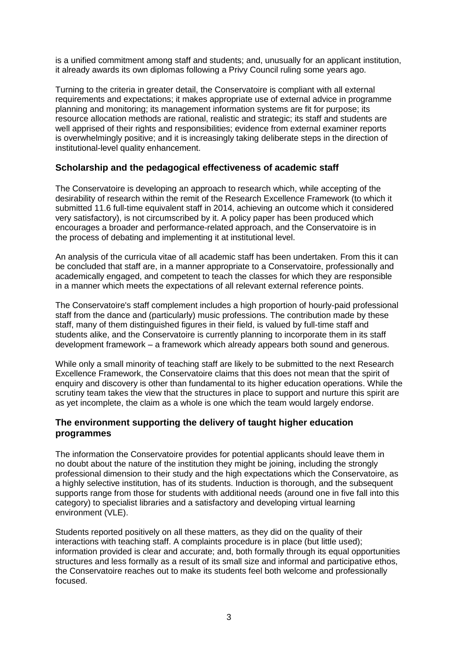is a unified commitment among staff and students; and, unusually for an applicant institution, it already awards its own diplomas following a Privy Council ruling some years ago.

Turning to the criteria in greater detail, the Conservatoire is compliant with all external requirements and expectations; it makes appropriate use of external advice in programme planning and monitoring; its management information systems are fit for purpose; its resource allocation methods are rational, realistic and strategic; its staff and students are well apprised of their rights and responsibilities; evidence from external examiner reports is overwhelmingly positive; and it is increasingly taking deliberate steps in the direction of institutional-level quality enhancement.

#### **Scholarship and the pedagogical effectiveness of academic staff**

The Conservatoire is developing an approach to research which, while accepting of the desirability of research within the remit of the Research Excellence Framework (to which it submitted 11.6 full-time equivalent staff in 2014, achieving an outcome which it considered very satisfactory), is not circumscribed by it. A policy paper has been produced which encourages a broader and performance-related approach, and the Conservatoire is in the process of debating and implementing it at institutional level.

An analysis of the curricula vitae of all academic staff has been undertaken. From this it can be concluded that staff are, in a manner appropriate to a Conservatoire, professionally and academically engaged, and competent to teach the classes for which they are responsible in a manner which meets the expectations of all relevant external reference points.

The Conservatoire's staff complement includes a high proportion of hourly-paid professional staff from the dance and (particularly) music professions. The contribution made by these staff, many of them distinguished figures in their field, is valued by full-time staff and students alike, and the Conservatoire is currently planning to incorporate them in its staff development framework – a framework which already appears both sound and generous.

While only a small minority of teaching staff are likely to be submitted to the next Research Excellence Framework, the Conservatoire claims that this does not mean that the spirit of enquiry and discovery is other than fundamental to its higher education operations. While the scrutiny team takes the view that the structures in place to support and nurture this spirit are as yet incomplete, the claim as a whole is one which the team would largely endorse.

#### **The environment supporting the delivery of taught higher education programmes**

The information the Conservatoire provides for potential applicants should leave them in no doubt about the nature of the institution they might be joining, including the strongly professional dimension to their study and the high expectations which the Conservatoire, as a highly selective institution, has of its students. Induction is thorough, and the subsequent supports range from those for students with additional needs (around one in five fall into this category) to specialist libraries and a satisfactory and developing virtual learning environment (VLE).

Students reported positively on all these matters, as they did on the quality of their interactions with teaching staff. A complaints procedure is in place (but little used); information provided is clear and accurate; and, both formally through its equal opportunities structures and less formally as a result of its small size and informal and participative ethos, the Conservatoire reaches out to make its students feel both welcome and professionally focused.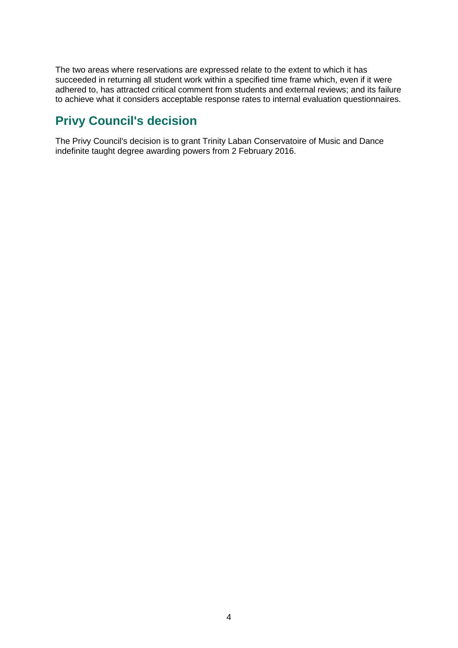The two areas where reservations are expressed relate to the extent to which it has succeeded in returning all student work within a specified time frame which, even if it were adhered to, has attracted critical comment from students and external reviews; and its failure to achieve what it considers acceptable response rates to internal evaluation questionnaires.

# <span id="page-4-0"></span>**Privy Council's decision**

The Privy Council's decision is to grant Trinity Laban Conservatoire of Music and Dance indefinite taught degree awarding powers from 2 February 2016.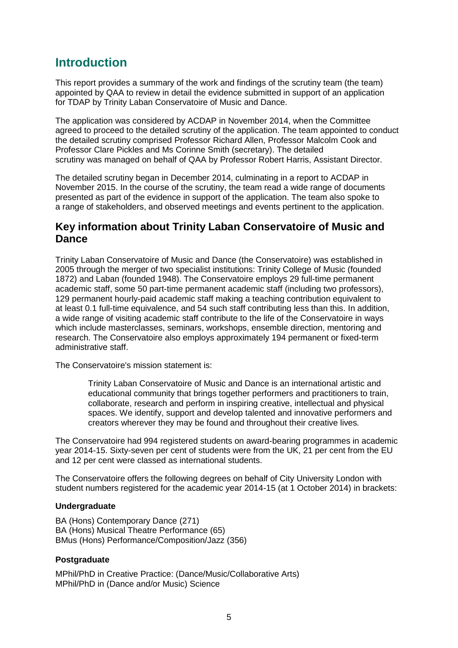### <span id="page-5-0"></span>**Introduction**

This report provides a summary of the work and findings of the scrutiny team (the team) appointed by QAA to review in detail the evidence submitted in support of an application for TDAP by Trinity Laban Conservatoire of Music and Dance.

The application was considered by ACDAP in November 2014, when the Committee agreed to proceed to the detailed scrutiny of the application. The team appointed to conduct the detailed scrutiny comprised Professor Richard Allen, Professor Malcolm Cook and Professor Clare Pickles and Ms Corinne Smith (secretary). The detailed scrutiny was managed on behalf of QAA by Professor Robert Harris, Assistant Director.

The detailed scrutiny began in December 2014, culminating in a report to ACDAP in November 2015. In the course of the scrutiny, the team read a wide range of documents presented as part of the evidence in support of the application. The team also spoke to a range of stakeholders, and observed meetings and events pertinent to the application.

### **Key information about Trinity Laban Conservatoire of Music and Dance**

Trinity Laban Conservatoire of Music and Dance (the Conservatoire) was established in 2005 through the merger of two specialist institutions: Trinity College of Music (founded 1872) and Laban (founded 1948). The Conservatoire employs 29 full-time permanent academic staff, some 50 part-time permanent academic staff (including two professors), 129 permanent hourly-paid academic staff making a teaching contribution equivalent to at least 0.1 full-time equivalence, and 54 such staff contributing less than this. In addition, a wide range of visiting academic staff contribute to the life of the Conservatoire in ways which include masterclasses, seminars, workshops, ensemble direction, mentoring and research. The Conservatoire also employs approximately 194 permanent or fixed-term administrative staff.

The Conservatoire's mission statement is:

Trinity Laban Conservatoire of Music and Dance is an international artistic and educational community that brings together performers and practitioners to train, collaborate, research and perform in inspiring creative, intellectual and physical spaces. We identify, support and develop talented and innovative performers and creators wherever they may be found and throughout their creative lives*.*

The Conservatoire had 994 registered students on award-bearing programmes in academic year 2014-15. Sixty-seven per cent of students were from the UK, 21 per cent from the EU and 12 per cent were classed as international students.

The Conservatoire offers the following degrees on behalf of City University London with student numbers registered for the academic year 2014-15 (at 1 October 2014) in brackets:

#### **Undergraduate**

BA (Hons) Contemporary Dance (271) BA (Hons) Musical Theatre Performance (65) BMus (Hons) Performance/Composition/Jazz (356)

#### **Postgraduate**

MPhil/PhD in Creative Practice: (Dance/Music/Collaborative Arts) MPhil/PhD in (Dance and/or Music) Science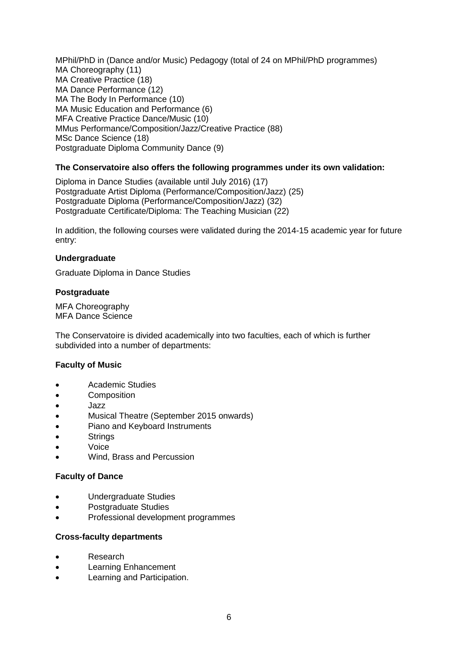MPhil/PhD in (Dance and/or Music) Pedagogy (total of 24 on MPhil/PhD programmes) MA Choreography (11) MA Creative Practice (18) MA Dance Performance (12) MA The Body In Performance (10) MA Music Education and Performance (6) MFA Creative Practice Dance/Music (10) MMus Performance/Composition/Jazz/Creative Practice (88) MSc Dance Science (18) Postgraduate Diploma Community Dance (9)

#### **The Conservatoire also offers the following programmes under its own validation:**

Diploma in Dance Studies (available until July 2016) (17) Postgraduate Artist Diploma (Performance/Composition/Jazz) (25) Postgraduate Diploma (Performance/Composition/Jazz) (32) Postgraduate Certificate/Diploma: The Teaching Musician (22)

In addition, the following courses were validated during the 2014-15 academic year for future entry:

#### **Undergraduate**

Graduate Diploma in Dance Studies

#### **Postgraduate**

MFA Choreography MFA Dance Science

The Conservatoire is divided academically into two faculties, each of which is further subdivided into a number of departments:

#### **Faculty of Music**

- Academic Studies
- **Composition**
- Jazz
- Musical Theatre (September 2015 onwards)
- Piano and Keyboard Instruments
- **Strings**
- Voice
- Wind, Brass and Percussion

#### **Faculty of Dance**

- Undergraduate Studies
- Postgraduate Studies
- Professional development programmes

#### **Cross-faculty departments**

- Research
- Learning Enhancement
- Learning and Participation.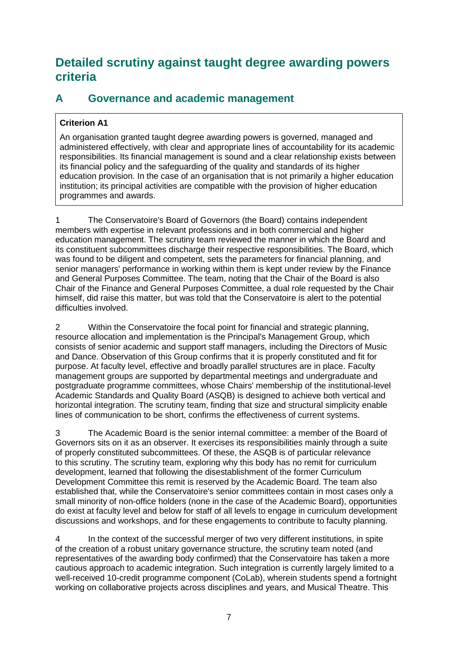## <span id="page-7-0"></span>**Detailed scrutiny against taught degree awarding powers criteria**

### <span id="page-7-1"></span>**A Governance and academic management**

#### **Criterion A1**

An organisation granted taught degree awarding powers is governed, managed and administered effectively, with clear and appropriate lines of accountability for its academic responsibilities. Its financial management is sound and a clear relationship exists between its financial policy and the safeguarding of the quality and standards of its higher education provision. In the case of an organisation that is not primarily a higher education institution; its principal activities are compatible with the provision of higher education programmes and awards.

1 The Conservatoire's Board of Governors (the Board) contains independent members with expertise in relevant professions and in both commercial and higher education management. The scrutiny team reviewed the manner in which the Board and its constituent subcommittees discharge their respective responsibilities. The Board, which was found to be diligent and competent, sets the parameters for financial planning, and senior managers' performance in working within them is kept under review by the Finance and General Purposes Committee. The team, noting that the Chair of the Board is also Chair of the Finance and General Purposes Committee, a dual role requested by the Chair himself, did raise this matter, but was told that the Conservatoire is alert to the potential difficulties involved.

2 Within the Conservatoire the focal point for financial and strategic planning, resource allocation and implementation is the Principal's Management Group, which consists of senior academic and support staff managers, including the Directors of Music and Dance. Observation of this Group confirms that it is properly constituted and fit for purpose. At faculty level, effective and broadly parallel structures are in place. Faculty management groups are supported by departmental meetings and undergraduate and postgraduate programme committees, whose Chairs' membership of the institutional-level Academic Standards and Quality Board (ASQB) is designed to achieve both vertical and horizontal integration. The scrutiny team, finding that size and structural simplicity enable lines of communication to be short, confirms the effectiveness of current systems.

3 The Academic Board is the senior internal committee: a member of the Board of Governors sits on it as an observer. It exercises its responsibilities mainly through a suite of properly constituted subcommittees. Of these, the ASQB is of particular relevance to this scrutiny. The scrutiny team, exploring why this body has no remit for curriculum development, learned that following the disestablishment of the former Curriculum Development Committee this remit is reserved by the Academic Board. The team also established that, while the Conservatoire's senior committees contain in most cases only a small minority of non-office holders (none in the case of the Academic Board), opportunities do exist at faculty level and below for staff of all levels to engage in curriculum development discussions and workshops, and for these engagements to contribute to faculty planning.

4 In the context of the successful merger of two very different institutions, in spite of the creation of a robust unitary governance structure, the scrutiny team noted (and representatives of the awarding body confirmed) that the Conservatoire has taken a more cautious approach to academic integration. Such integration is currently largely limited to a well-received 10-credit programme component (CoLab), wherein students spend a fortnight working on collaborative projects across disciplines and years, and Musical Theatre. This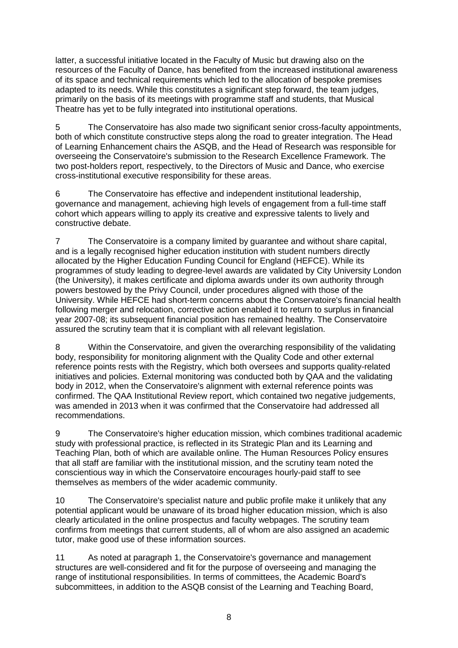latter, a successful initiative located in the Faculty of Music but drawing also on the resources of the Faculty of Dance, has benefited from the increased institutional awareness of its space and technical requirements which led to the allocation of bespoke premises adapted to its needs. While this constitutes a significant step forward, the team judges, primarily on the basis of its meetings with programme staff and students, that Musical Theatre has yet to be fully integrated into institutional operations.

5 The Conservatoire has also made two significant senior cross-faculty appointments, both of which constitute constructive steps along the road to greater integration. The Head of Learning Enhancement chairs the ASQB, and the Head of Research was responsible for overseeing the Conservatoire's submission to the Research Excellence Framework. The two post-holders report, respectively, to the Directors of Music and Dance, who exercise cross-institutional executive responsibility for these areas.

6 The Conservatoire has effective and independent institutional leadership, governance and management, achieving high levels of engagement from a full-time staff cohort which appears willing to apply its creative and expressive talents to lively and constructive debate.

7 The Conservatoire is a company limited by guarantee and without share capital, and is a legally recognised higher education institution with student numbers directly allocated by the Higher Education Funding Council for England (HEFCE). While its programmes of study leading to degree-level awards are validated by City University London (the University), it makes certificate and diploma awards under its own authority through powers bestowed by the Privy Council, under procedures aligned with those of the University. While HEFCE had short-term concerns about the Conservatoire's financial health following merger and relocation, corrective action enabled it to return to surplus in financial year 2007-08; its subsequent financial position has remained healthy. The Conservatoire assured the scrutiny team that it is compliant with all relevant legislation.

8 Within the Conservatoire, and given the overarching responsibility of the validating body, responsibility for monitoring alignment with the Quality Code and other external reference points rests with the Registry, which both oversees and supports quality-related initiatives and policies. External monitoring was conducted both by QAA and the validating body in 2012, when the Conservatoire's alignment with external reference points was confirmed. The QAA Institutional Review report, which contained two negative judgements, was amended in 2013 when it was confirmed that the Conservatoire had addressed all recommendations.

9 The Conservatoire's higher education mission, which combines traditional academic study with professional practice, is reflected in its Strategic Plan and its Learning and Teaching Plan, both of which are available online. The Human Resources Policy ensures that all staff are familiar with the institutional mission, and the scrutiny team noted the conscientious way in which the Conservatoire encourages hourly-paid staff to see themselves as members of the wider academic community.

10 The Conservatoire's specialist nature and public profile make it unlikely that any potential applicant would be unaware of its broad higher education mission, which is also clearly articulated in the online prospectus and faculty webpages. The scrutiny team confirms from meetings that current students, all of whom are also assigned an academic tutor, make good use of these information sources.

11 As noted at paragraph 1, the Conservatoire's governance and management structures are well-considered and fit for the purpose of overseeing and managing the range of institutional responsibilities. In terms of committees, the Academic Board's subcommittees, in addition to the ASQB consist of the Learning and Teaching Board,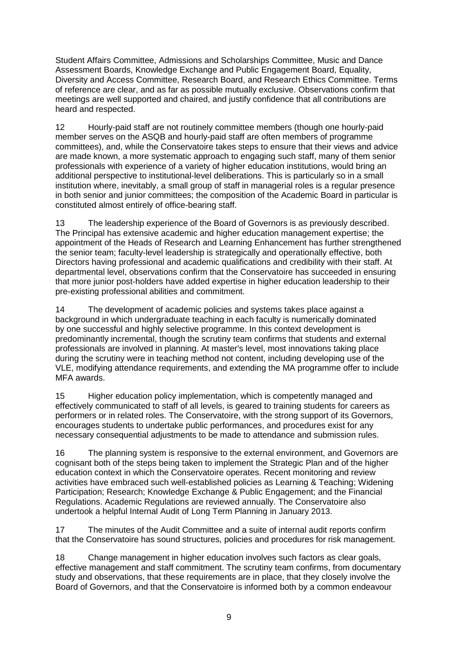Student Affairs Committee, Admissions and Scholarships Committee, Music and Dance Assessment Boards, Knowledge Exchange and Public Engagement Board, Equality, Diversity and Access Committee, Research Board, and Research Ethics Committee. Terms of reference are clear, and as far as possible mutually exclusive. Observations confirm that meetings are well supported and chaired, and justify confidence that all contributions are heard and respected.

12 Hourly-paid staff are not routinely committee members (though one hourly-paid member serves on the ASQB and hourly-paid staff are often members of programme committees), and, while the Conservatoire takes steps to ensure that their views and advice are made known, a more systematic approach to engaging such staff, many of them senior professionals with experience of a variety of higher education institutions, would bring an additional perspective to institutional-level deliberations. This is particularly so in a small institution where, inevitably, a small group of staff in managerial roles is a regular presence in both senior and junior committees; the composition of the Academic Board in particular is constituted almost entirely of office-bearing staff.

13 The leadership experience of the Board of Governors is as previously described. The Principal has extensive academic and higher education management expertise; the appointment of the Heads of Research and Learning Enhancement has further strengthened the senior team; faculty-level leadership is strategically and operationally effective, both Directors having professional and academic qualifications and credibility with their staff. At departmental level, observations confirm that the Conservatoire has succeeded in ensuring that more junior post-holders have added expertise in higher education leadership to their pre-existing professional abilities and commitment.

14 The development of academic policies and systems takes place against a background in which undergraduate teaching in each faculty is numerically dominated by one successful and highly selective programme. In this context development is predominantly incremental, though the scrutiny team confirms that students and external professionals are involved in planning. At master's level, most innovations taking place during the scrutiny were in teaching method not content, including developing use of the VLE, modifying attendance requirements, and extending the MA programme offer to include MFA awards.

15 Higher education policy implementation, which is competently managed and effectively communicated to staff of all levels, is geared to training students for careers as performers or in related roles. The Conservatoire, with the strong support of its Governors, encourages students to undertake public performances, and procedures exist for any necessary consequential adjustments to be made to attendance and submission rules.

16 The planning system is responsive to the external environment, and Governors are cognisant both of the steps being taken to implement the Strategic Plan and of the higher education context in which the Conservatoire operates. Recent monitoring and review activities have embraced such well-established policies as Learning & Teaching; Widening Participation; Research; Knowledge Exchange & Public Engagement; and the Financial Regulations. Academic Regulations are reviewed annually. The Conservatoire also undertook a helpful Internal Audit of Long Term Planning in January 2013.

17 The minutes of the Audit Committee and a suite of internal audit reports confirm that the Conservatoire has sound structures, policies and procedures for risk management.

18 Change management in higher education involves such factors as clear goals, effective management and staff commitment. The scrutiny team confirms, from documentary study and observations, that these requirements are in place, that they closely involve the Board of Governors, and that the Conservatoire is informed both by a common endeavour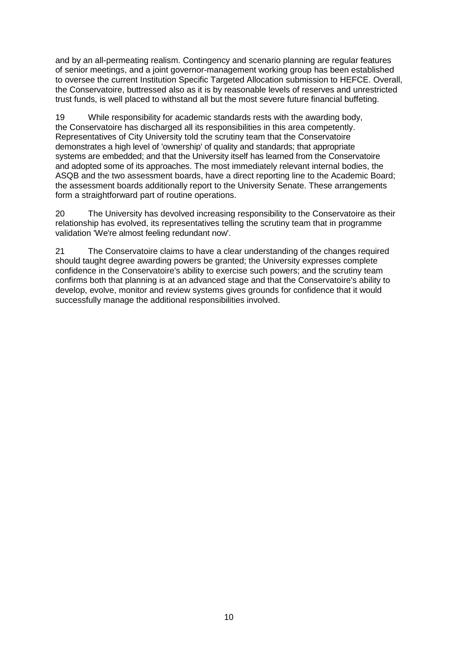and by an all-permeating realism. Contingency and scenario planning are regular features of senior meetings, and a joint governor-management working group has been established to oversee the current Institution Specific Targeted Allocation submission to HEFCE. Overall, the Conservatoire, buttressed also as it is by reasonable levels of reserves and unrestricted trust funds, is well placed to withstand all but the most severe future financial buffeting.

19 While responsibility for academic standards rests with the awarding body, the Conservatoire has discharged all its responsibilities in this area competently. Representatives of City University told the scrutiny team that the Conservatoire demonstrates a high level of 'ownership' of quality and standards; that appropriate systems are embedded; and that the University itself has learned from the Conservatoire and adopted some of its approaches. The most immediately relevant internal bodies, the ASQB and the two assessment boards, have a direct reporting line to the Academic Board; the assessment boards additionally report to the University Senate. These arrangements form a straightforward part of routine operations.

20 The University has devolved increasing responsibility to the Conservatoire as their relationship has evolved, its representatives telling the scrutiny team that in programme validation 'We're almost feeling redundant now'.

<span id="page-10-0"></span>21 The Conservatoire claims to have a clear understanding of the changes required should taught degree awarding powers be granted; the University expresses complete confidence in the Conservatoire's ability to exercise such powers; and the scrutiny team confirms both that planning is at an advanced stage and that the Conservatoire's ability to develop, evolve, monitor and review systems gives grounds for confidence that it would successfully manage the additional responsibilities involved.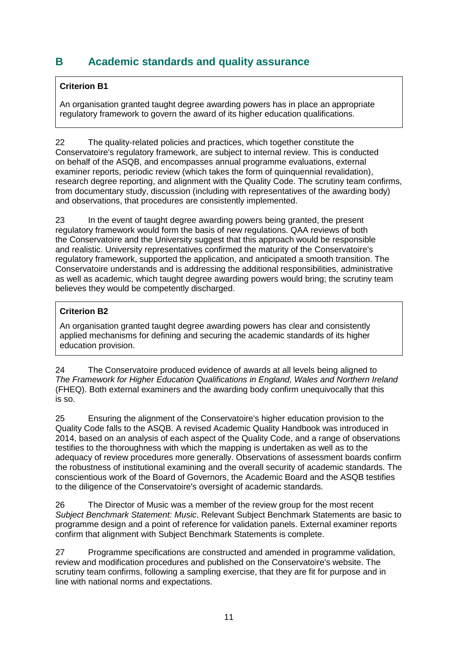### **B Academic standards and quality assurance**

#### **Criterion B1**

An organisation granted taught degree awarding powers has in place an appropriate regulatory framework to govern the award of its higher education qualifications.

22 The quality-related policies and practices, which together constitute the Conservatoire's regulatory framework, are subject to internal review. This is conducted on behalf of the ASQB, and encompasses annual programme evaluations, external examiner reports, periodic review (which takes the form of quinquennial revalidation), research degree reporting, and alignment with the Quality Code. The scrutiny team confirms, from documentary study, discussion (including with representatives of the awarding body) and observations, that procedures are consistently implemented.

23 In the event of taught degree awarding powers being granted, the present regulatory framework would form the basis of new regulations. QAA reviews of both the Conservatoire and the University suggest that this approach would be responsible and realistic. University representatives confirmed the maturity of the Conservatoire's regulatory framework, supported the application, and anticipated a smooth transition. The Conservatoire understands and is addressing the additional responsibilities, administrative as well as academic, which taught degree awarding powers would bring; the scrutiny team believes they would be competently discharged.

#### **Criterion B2**

An organisation granted taught degree awarding powers has clear and consistently applied mechanisms for defining and securing the academic standards of its higher education provision.

24 The Conservatoire produced evidence of awards at all levels being aligned to *The Framework for Higher Education Qualifications in England, Wales and Northern Ireland* (FHEQ). Both external examiners and the awarding body confirm unequivocally that this is so.

25 Ensuring the alignment of the Conservatoire's higher education provision to the Quality Code falls to the ASQB. A revised Academic Quality Handbook was introduced in 2014, based on an analysis of each aspect of the Quality Code, and a range of observations testifies to the thoroughness with which the mapping is undertaken as well as to the adequacy of review procedures more generally. Observations of assessment boards confirm the robustness of institutional examining and the overall security of academic standards. The conscientious work of the Board of Governors, the Academic Board and the ASQB testifies to the diligence of the Conservatoire's oversight of academic standards.

26 The Director of Music was a member of the review group for the most recent *Subject Benchmark Statement: Music*. Relevant Subject Benchmark Statements are basic to programme design and a point of reference for validation panels. External examiner reports confirm that alignment with Subject Benchmark Statements is complete.

27 Programme specifications are constructed and amended in programme validation, review and modification procedures and published on the Conservatoire's website. The scrutiny team confirms, following a sampling exercise, that they are fit for purpose and in line with national norms and expectations.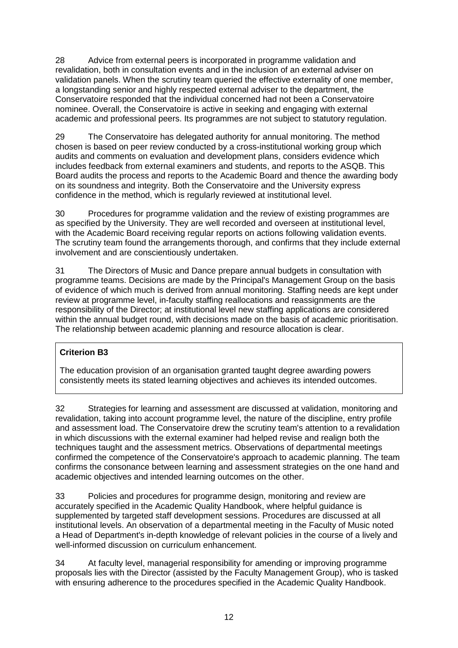28 Advice from external peers is incorporated in programme validation and revalidation, both in consultation events and in the inclusion of an external adviser on validation panels. When the scrutiny team queried the effective externality of one member, a longstanding senior and highly respected external adviser to the department, the Conservatoire responded that the individual concerned had not been a Conservatoire nominee. Overall, the Conservatoire is active in seeking and engaging with external academic and professional peers. Its programmes are not subject to statutory regulation.

29 The Conservatoire has delegated authority for annual monitoring. The method chosen is based on peer review conducted by a cross-institutional working group which audits and comments on evaluation and development plans, considers evidence which includes feedback from external examiners and students, and reports to the ASQB. This Board audits the process and reports to the Academic Board and thence the awarding body on its soundness and integrity. Both the Conservatoire and the University express confidence in the method, which is regularly reviewed at institutional level.

30 Procedures for programme validation and the review of existing programmes are as specified by the University. They are well recorded and overseen at institutional level, with the Academic Board receiving regular reports on actions following validation events. The scrutiny team found the arrangements thorough, and confirms that they include external involvement and are conscientiously undertaken.

31 The Directors of Music and Dance prepare annual budgets in consultation with programme teams. Decisions are made by the Principal's Management Group on the basis of evidence of which much is derived from annual monitoring. Staffing needs are kept under review at programme level, in-faculty staffing reallocations and reassignments are the responsibility of the Director; at institutional level new staffing applications are considered within the annual budget round, with decisions made on the basis of academic prioritisation. The relationship between academic planning and resource allocation is clear.

#### **Criterion B3**

The education provision of an organisation granted taught degree awarding powers consistently meets its stated learning objectives and achieves its intended outcomes.

32 Strategies for learning and assessment are discussed at validation, monitoring and revalidation, taking into account programme level, the nature of the discipline, entry profile and assessment load. The Conservatoire drew the scrutiny team's attention to a revalidation in which discussions with the external examiner had helped revise and realign both the techniques taught and the assessment metrics. Observations of departmental meetings confirmed the competence of the Conservatoire's approach to academic planning. The team confirms the consonance between learning and assessment strategies on the one hand and academic objectives and intended learning outcomes on the other.

33 Policies and procedures for programme design, monitoring and review are accurately specified in the Academic Quality Handbook, where helpful guidance is supplemented by targeted staff development sessions. Procedures are discussed at all institutional levels. An observation of a departmental meeting in the Faculty of Music noted a Head of Department's in-depth knowledge of relevant policies in the course of a lively and well-informed discussion on curriculum enhancement.

34 At faculty level, managerial responsibility for amending or improving programme proposals lies with the Director (assisted by the Faculty Management Group), who is tasked with ensuring adherence to the procedures specified in the Academic Quality Handbook.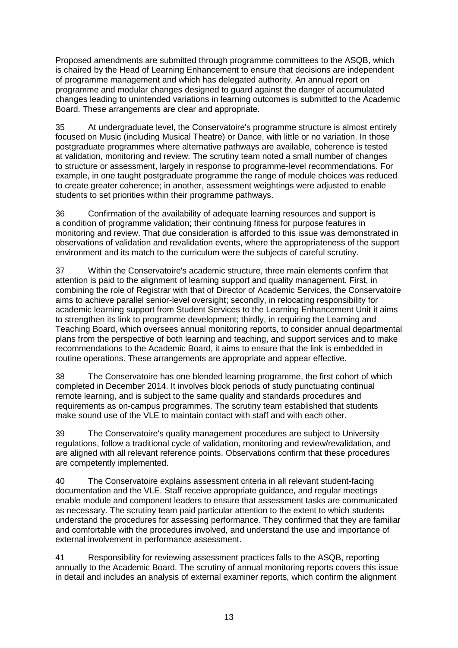Proposed amendments are submitted through programme committees to the ASQB, which is chaired by the Head of Learning Enhancement to ensure that decisions are independent of programme management and which has delegated authority. An annual report on programme and modular changes designed to guard against the danger of accumulated changes leading to unintended variations in learning outcomes is submitted to the Academic Board. These arrangements are clear and appropriate.

35 At undergraduate level, the Conservatoire's programme structure is almost entirely focused on Music (including Musical Theatre) or Dance, with little or no variation. In those postgraduate programmes where alternative pathways are available, coherence is tested at validation, monitoring and review. The scrutiny team noted a small number of changes to structure or assessment, largely in response to programme-level recommendations. For example, in one taught postgraduate programme the range of module choices was reduced to create greater coherence; in another, assessment weightings were adjusted to enable students to set priorities within their programme pathways.

36 Confirmation of the availability of adequate learning resources and support is a condition of programme validation; their continuing fitness for purpose features in monitoring and review. That due consideration is afforded to this issue was demonstrated in observations of validation and revalidation events, where the appropriateness of the support environment and its match to the curriculum were the subjects of careful scrutiny.

37 Within the Conservatoire's academic structure, three main elements confirm that attention is paid to the alignment of learning support and quality management. First, in combining the role of Registrar with that of Director of Academic Services, the Conservatoire aims to achieve parallel senior-level oversight; secondly, in relocating responsibility for academic learning support from Student Services to the Learning Enhancement Unit it aims to strengthen its link to programme development; thirdly, in requiring the Learning and Teaching Board, which oversees annual monitoring reports, to consider annual departmental plans from the perspective of both learning and teaching, and support services and to make recommendations to the Academic Board, it aims to ensure that the link is embedded in routine operations. These arrangements are appropriate and appear effective.

38 The Conservatoire has one blended learning programme, the first cohort of which completed in December 2014. It involves block periods of study punctuating continual remote learning, and is subject to the same quality and standards procedures and requirements as on-campus programmes. The scrutiny team established that students make sound use of the VLE to maintain contact with staff and with each other.

39 The Conservatoire's quality management procedures are subject to University regulations, follow a traditional cycle of validation, monitoring and review/revalidation, and are aligned with all relevant reference points. Observations confirm that these procedures are competently implemented.

40 The Conservatoire explains assessment criteria in all relevant student-facing documentation and the VLE. Staff receive appropriate guidance, and regular meetings enable module and component leaders to ensure that assessment tasks are communicated as necessary. The scrutiny team paid particular attention to the extent to which students understand the procedures for assessing performance. They confirmed that they are familiar and comfortable with the procedures involved, and understand the use and importance of external involvement in performance assessment.

41 Responsibility for reviewing assessment practices falls to the ASQB, reporting annually to the Academic Board. The scrutiny of annual monitoring reports covers this issue in detail and includes an analysis of external examiner reports, which confirm the alignment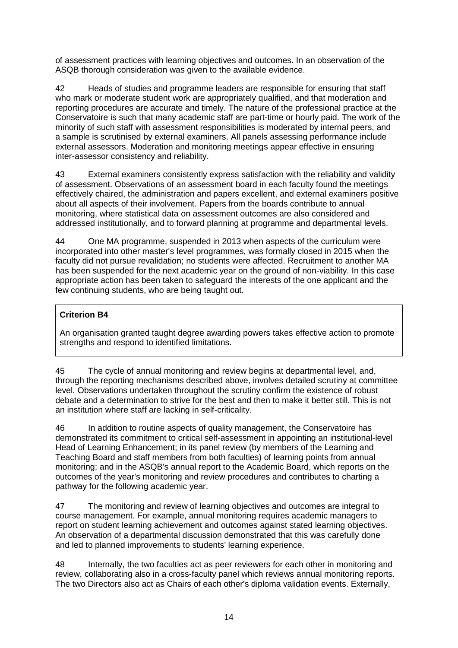of assessment practices with learning objectives and outcomes. In an observation of the ASQB thorough consideration was given to the available evidence.

42 Heads of studies and programme leaders are responsible for ensuring that staff who mark or moderate student work are appropriately qualified, and that moderation and reporting procedures are accurate and timely. The nature of the professional practice at the Conservatoire is such that many academic staff are part-time or hourly paid. The work of the minority of such staff with assessment responsibilities is moderated by internal peers, and a sample is scrutinised by external examiners. All panels assessing performance include external assessors. Moderation and monitoring meetings appear effective in ensuring inter-assessor consistency and reliability.

43 External examiners consistently express satisfaction with the reliability and validity of assessment. Observations of an assessment board in each faculty found the meetings effectively chaired, the administration and papers excellent, and external examiners positive about all aspects of their involvement. Papers from the boards contribute to annual monitoring, where statistical data on assessment outcomes are also considered and addressed institutionally, and to forward planning at programme and departmental levels.

44 One MA programme, suspended in 2013 when aspects of the curriculum were incorporated into other master's level programmes, was formally closed in 2015 when the faculty did not pursue revalidation; no students were affected. Recruitment to another MA has been suspended for the next academic year on the ground of non-viability. In this case appropriate action has been taken to safeguard the interests of the one applicant and the few continuing students, who are being taught out.

#### **Criterion B4**

An organisation granted taught degree awarding powers takes effective action to promote strengths and respond to identified limitations.

45 The cycle of annual monitoring and review begins at departmental level, and, through the reporting mechanisms described above, involves detailed scrutiny at committee level. Observations undertaken throughout the scrutiny confirm the existence of robust debate and a determination to strive for the best and then to make it better still. This is not an institution where staff are lacking in self-criticality.

46 In addition to routine aspects of quality management, the Conservatoire has demonstrated its commitment to critical self-assessment in appointing an institutional-level Head of Learning Enhancement; in its panel review (by members of the Learning and Teaching Board and staff members from both faculties) of learning points from annual monitoring; and in the ASQB's annual report to the Academic Board, which reports on the outcomes of the year's monitoring and review procedures and contributes to charting a pathway for the following academic year.

47 The monitoring and review of learning objectives and outcomes are integral to course management. For example, annual monitoring requires academic managers to report on student learning achievement and outcomes against stated learning objectives. An observation of a departmental discussion demonstrated that this was carefully done and led to planned improvements to students' learning experience.

48 Internally, the two faculties act as peer reviewers for each other in monitoring and review, collaborating also in a cross-faculty panel which reviews annual monitoring reports. The two Directors also act as Chairs of each other's diploma validation events. Externally,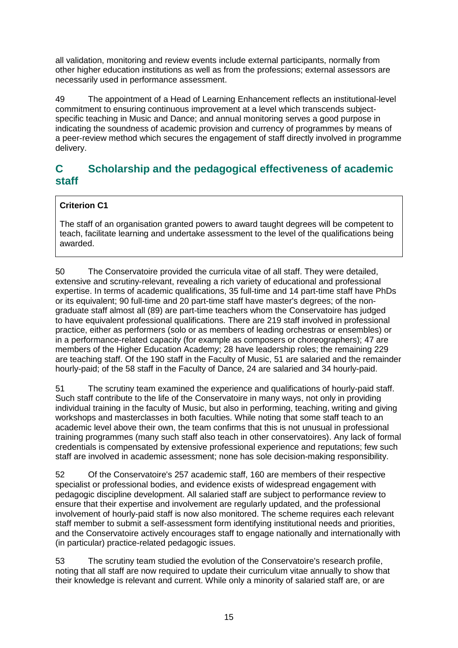all validation, monitoring and review events include external participants, normally from other higher education institutions as well as from the professions; external assessors are necessarily used in performance assessment.

49 The appointment of a Head of Learning Enhancement reflects an institutional-level commitment to ensuring continuous improvement at a level which transcends subjectspecific teaching in Music and Dance; and annual monitoring serves a good purpose in indicating the soundness of academic provision and currency of programmes by means of a peer-review method which secures the engagement of staff directly involved in programme delivery.

### <span id="page-15-0"></span>**C Scholarship and the pedagogical effectiveness of academic staff**

### **Criterion C1**

The staff of an organisation granted powers to award taught degrees will be competent to teach, facilitate learning and undertake assessment to the level of the qualifications being awarded.

50 The Conservatoire provided the curricula vitae of all staff. They were detailed, extensive and scrutiny-relevant, revealing a rich variety of educational and professional expertise. In terms of academic qualifications, 35 full-time and 14 part-time staff have PhDs or its equivalent; 90 full-time and 20 part-time staff have master's degrees; of the nongraduate staff almost all (89) are part-time teachers whom the Conservatoire has judged to have equivalent professional qualifications. There are 219 staff involved in professional practice, either as performers (solo or as members of leading orchestras or ensembles) or in a performance-related capacity (for example as composers or choreographers); 47 are members of the Higher Education Academy; 28 have leadership roles; the remaining 229 are teaching staff. Of the 190 staff in the Faculty of Music, 51 are salaried and the remainder hourly-paid; of the 58 staff in the Faculty of Dance, 24 are salaried and 34 hourly-paid.

51 The scrutiny team examined the experience and qualifications of hourly-paid staff. Such staff contribute to the life of the Conservatoire in many ways, not only in providing individual training in the faculty of Music, but also in performing, teaching, writing and giving workshops and masterclasses in both faculties. While noting that some staff teach to an academic level above their own, the team confirms that this is not unusual in professional training programmes (many such staff also teach in other conservatoires). Any lack of formal credentials is compensated by extensive professional experience and reputations; few such staff are involved in academic assessment; none has sole decision-making responsibility.

52 Of the Conservatoire's 257 academic staff, 160 are members of their respective specialist or professional bodies, and evidence exists of widespread engagement with pedagogic discipline development. All salaried staff are subject to performance review to ensure that their expertise and involvement are regularly updated, and the professional involvement of hourly-paid staff is now also monitored. The scheme requires each relevant staff member to submit a self-assessment form identifying institutional needs and priorities, and the Conservatoire actively encourages staff to engage nationally and internationally with (in particular) practice-related pedagogic issues.

53 The scrutiny team studied the evolution of the Conservatoire's research profile, noting that all staff are now required to update their curriculum vitae annually to show that their knowledge is relevant and current. While only a minority of salaried staff are, or are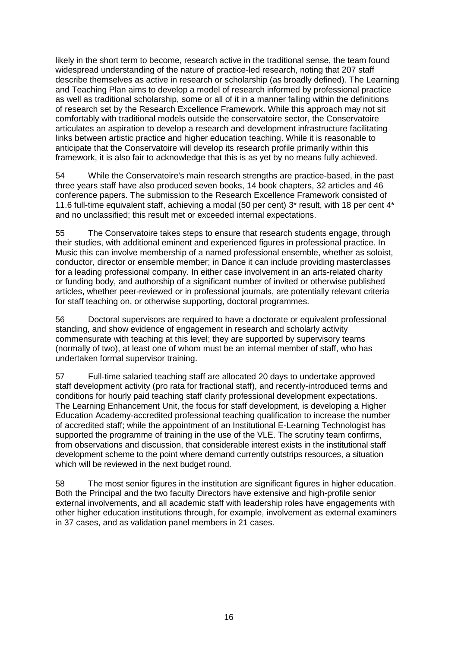likely in the short term to become, research active in the traditional sense, the team found widespread understanding of the nature of practice-led research, noting that 207 staff describe themselves as active in research or scholarship (as broadly defined). The Learning and Teaching Plan aims to develop a model of research informed by professional practice as well as traditional scholarship, some or all of it in a manner falling within the definitions of research set by the Research Excellence Framework. While this approach may not sit comfortably with traditional models outside the conservatoire sector, the Conservatoire articulates an aspiration to develop a research and development infrastructure facilitating links between artistic practice and higher education teaching. While it is reasonable to anticipate that the Conservatoire will develop its research profile primarily within this framework, it is also fair to acknowledge that this is as yet by no means fully achieved.

54 While the Conservatoire's main research strengths are practice-based, in the past three years staff have also produced seven books, 14 book chapters, 32 articles and 46 conference papers. The submission to the Research Excellence Framework consisted of 11.6 full-time equivalent staff, achieving a modal (50 per cent) 3\* result, with 18 per cent 4\* and no unclassified; this result met or exceeded internal expectations.

55 The Conservatoire takes steps to ensure that research students engage, through their studies, with additional eminent and experienced figures in professional practice. In Music this can involve membership of a named professional ensemble, whether as soloist, conductor, director or ensemble member; in Dance it can include providing masterclasses for a leading professional company. In either case involvement in an arts-related charity or funding body, and authorship of a significant number of invited or otherwise published articles, whether peer-reviewed or in professional journals, are potentially relevant criteria for staff teaching on, or otherwise supporting, doctoral programmes.

56 Doctoral supervisors are required to have a doctorate or equivalent professional standing, and show evidence of engagement in research and scholarly activity commensurate with teaching at this level; they are supported by supervisory teams (normally of two), at least one of whom must be an internal member of staff, who has undertaken formal supervisor training.

57 Full-time salaried teaching staff are allocated 20 days to undertake approved staff development activity (pro rata for fractional staff), and recently-introduced terms and conditions for hourly paid teaching staff clarify professional development expectations. The Learning Enhancement Unit, the focus for staff development, is developing a Higher Education Academy-accredited professional teaching qualification to increase the number of accredited staff; while the appointment of an Institutional E-Learning Technologist has supported the programme of training in the use of the VLE. The scrutiny team confirms, from observations and discussion, that considerable interest exists in the institutional staff development scheme to the point where demand currently outstrips resources, a situation which will be reviewed in the next budget round.

<span id="page-16-0"></span>58 The most senior figures in the institution are significant figures in higher education. Both the Principal and the two faculty Directors have extensive and high-profile senior external involvements, and all academic staff with leadership roles have engagements with other higher education institutions through, for example, involvement as external examiners in 37 cases, and as validation panel members in 21 cases.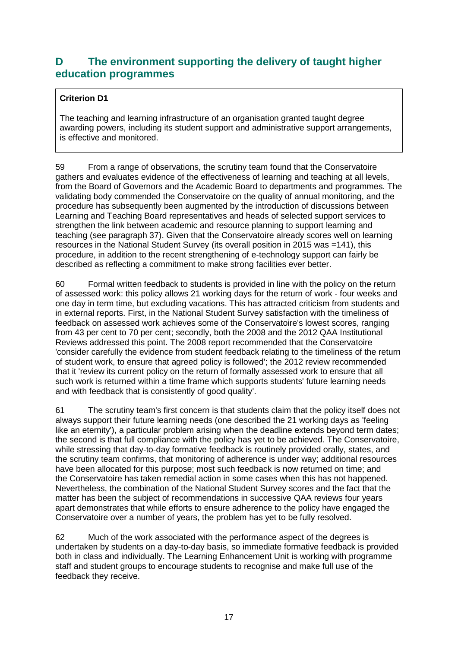### **D The environment supporting the delivery of taught higher education programmes**

#### **Criterion D1**

The teaching and learning infrastructure of an organisation granted taught degree awarding powers, including its student support and administrative support arrangements, is effective and monitored.

59 From a range of observations, the scrutiny team found that the Conservatoire gathers and evaluates evidence of the effectiveness of learning and teaching at all levels, from the Board of Governors and the Academic Board to departments and programmes. The validating body commended the Conservatoire on the quality of annual monitoring, and the procedure has subsequently been augmented by the introduction of discussions between Learning and Teaching Board representatives and heads of selected support services to strengthen the link between academic and resource planning to support learning and teaching (see paragraph 37). Given that the Conservatoire already scores well on learning resources in the National Student Survey (its overall position in 2015 was =141), this procedure, in addition to the recent strengthening of e-technology support can fairly be described as reflecting a commitment to make strong facilities ever better.

60 Formal written feedback to students is provided in line with the policy on the return of assessed work: this policy allows 21 working days for the return of work - four weeks and one day in term time, but excluding vacations. This has attracted criticism from students and in external reports. First, in the National Student Survey satisfaction with the timeliness of feedback on assessed work achieves some of the Conservatoire's lowest scores, ranging from 43 per cent to 70 per cent; secondly, both the 2008 and the 2012 QAA Institutional Reviews addressed this point. The 2008 report recommended that the Conservatoire 'consider carefully the evidence from student feedback relating to the timeliness of the return of student work, to ensure that agreed policy is followed'; the 2012 review recommended that it 'review its current policy on the return of formally assessed work to ensure that all such work is returned within a time frame which supports students' future learning needs and with feedback that is consistently of good quality'.

61 The scrutiny team's first concern is that students claim that the policy itself does not always support their future learning needs (one described the 21 working days as 'feeling like an eternity'), a particular problem arising when the deadline extends beyond term dates; the second is that full compliance with the policy has yet to be achieved. The Conservatoire, while stressing that day-to-day formative feedback is routinely provided orally, states, and the scrutiny team confirms, that monitoring of adherence is under way; additional resources have been allocated for this purpose; most such feedback is now returned on time; and the Conservatoire has taken remedial action in some cases when this has not happened. Nevertheless, the combination of the National Student Survey scores and the fact that the matter has been the subject of recommendations in successive QAA reviews four years apart demonstrates that while efforts to ensure adherence to the policy have engaged the Conservatoire over a number of years, the problem has yet to be fully resolved.

62 Much of the work associated with the performance aspect of the degrees is undertaken by students on a day-to-day basis, so immediate formative feedback is provided both in class and individually. The Learning Enhancement Unit is working with programme staff and student groups to encourage students to recognise and make full use of the feedback they receive.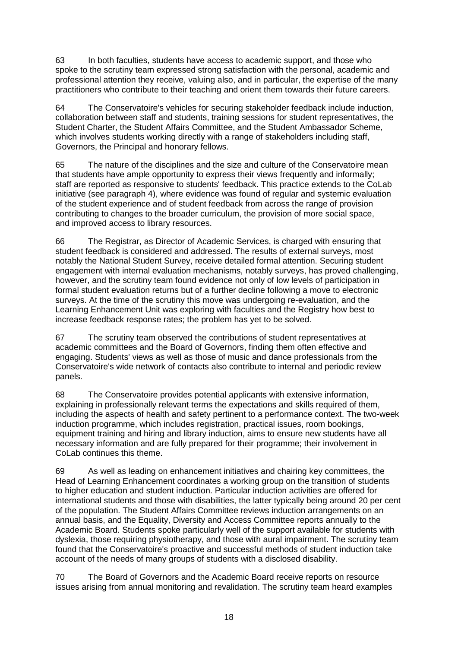63 In both faculties, students have access to academic support, and those who spoke to the scrutiny team expressed strong satisfaction with the personal, academic and professional attention they receive, valuing also, and in particular, the expertise of the many practitioners who contribute to their teaching and orient them towards their future careers.

64 The Conservatoire's vehicles for securing stakeholder feedback include induction, collaboration between staff and students, training sessions for student representatives, the Student Charter, the Student Affairs Committee, and the Student Ambassador Scheme, which involves students working directly with a range of stakeholders including staff, Governors, the Principal and honorary fellows.

65 The nature of the disciplines and the size and culture of the Conservatoire mean that students have ample opportunity to express their views frequently and informally; staff are reported as responsive to students' feedback. This practice extends to the CoLab initiative (see paragraph 4), where evidence was found of regular and systemic evaluation of the student experience and of student feedback from across the range of provision contributing to changes to the broader curriculum, the provision of more social space, and improved access to library resources.

66 The Registrar, as Director of Academic Services, is charged with ensuring that student feedback is considered and addressed. The results of external surveys, most notably the National Student Survey, receive detailed formal attention. Securing student engagement with internal evaluation mechanisms, notably surveys, has proved challenging, however, and the scrutiny team found evidence not only of low levels of participation in formal student evaluation returns but of a further decline following a move to electronic surveys. At the time of the scrutiny this move was undergoing re-evaluation, and the Learning Enhancement Unit was exploring with faculties and the Registry how best to increase feedback response rates; the problem has yet to be solved.

67 The scrutiny team observed the contributions of student representatives at academic committees and the Board of Governors, finding them often effective and engaging. Students' views as well as those of music and dance professionals from the Conservatoire's wide network of contacts also contribute to internal and periodic review panels.

68 The Conservatoire provides potential applicants with extensive information, explaining in professionally relevant terms the expectations and skills required of them, including the aspects of health and safety pertinent to a performance context. The two-week induction programme, which includes registration, practical issues, room bookings, equipment training and hiring and library induction, aims to ensure new students have all necessary information and are fully prepared for their programme; their involvement in CoLab continues this theme.

69 As well as leading on enhancement initiatives and chairing key committees, the Head of Learning Enhancement coordinates a working group on the transition of students to higher education and student induction. Particular induction activities are offered for international students and those with disabilities, the latter typically being around 20 per cent of the population. The Student Affairs Committee reviews induction arrangements on an annual basis, and the Equality, Diversity and Access Committee reports annually to the Academic Board. Students spoke particularly well of the support available for students with dyslexia, those requiring physiotherapy, and those with aural impairment. The scrutiny team found that the Conservatoire's proactive and successful methods of student induction take account of the needs of many groups of students with a disclosed disability.

70 The Board of Governors and the Academic Board receive reports on resource issues arising from annual monitoring and revalidation. The scrutiny team heard examples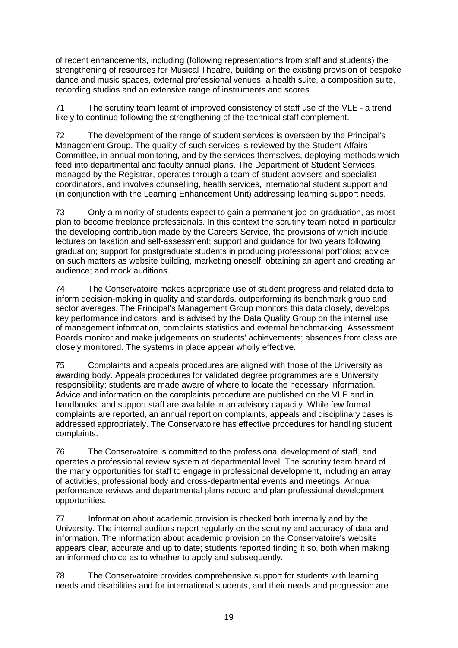of recent enhancements, including (following representations from staff and students) the strengthening of resources for Musical Theatre, building on the existing provision of bespoke dance and music spaces, external professional venues, a health suite, a composition suite, recording studios and an extensive range of instruments and scores.

71 The scrutiny team learnt of improved consistency of staff use of the VLE - a trend likely to continue following the strengthening of the technical staff complement.

72 The development of the range of student services is overseen by the Principal's Management Group. The quality of such services is reviewed by the Student Affairs Committee, in annual monitoring, and by the services themselves, deploying methods which feed into departmental and faculty annual plans. The Department of Student Services, managed by the Registrar, operates through a team of student advisers and specialist coordinators, and involves counselling, health services, international student support and (in conjunction with the Learning Enhancement Unit) addressing learning support needs.

73 Only a minority of students expect to gain a permanent job on graduation, as most plan to become freelance professionals. In this context the scrutiny team noted in particular the developing contribution made by the Careers Service, the provisions of which include lectures on taxation and self-assessment; support and guidance for two years following graduation; support for postgraduate students in producing professional portfolios; advice on such matters as website building, marketing oneself, obtaining an agent and creating an audience; and mock auditions.

74 The Conservatoire makes appropriate use of student progress and related data to inform decision-making in quality and standards, outperforming its benchmark group and sector averages. The Principal's Management Group monitors this data closely, develops key performance indicators, and is advised by the Data Quality Group on the internal use of management information, complaints statistics and external benchmarking. Assessment Boards monitor and make judgements on students' achievements; absences from class are closely monitored. The systems in place appear wholly effective.

75 Complaints and appeals procedures are aligned with those of the University as awarding body. Appeals procedures for validated degree programmes are a University responsibility; students are made aware of where to locate the necessary information. Advice and information on the complaints procedure are published on the VLE and in handbooks, and support staff are available in an advisory capacity. While few formal complaints are reported, an annual report on complaints, appeals and disciplinary cases is addressed appropriately. The Conservatoire has effective procedures for handling student complaints.

76 The Conservatoire is committed to the professional development of staff, and operates a professional review system at departmental level. The scrutiny team heard of the many opportunities for staff to engage in professional development, including an array of activities, professional body and cross-departmental events and meetings. Annual performance reviews and departmental plans record and plan professional development opportunities.

77 Information about academic provision is checked both internally and by the University. The internal auditors report regularly on the scrutiny and accuracy of data and information. The information about academic provision on the Conservatoire's website appears clear, accurate and up to date; students reported finding it so, both when making an informed choice as to whether to apply and subsequently.

78 The Conservatoire provides comprehensive support for students with learning needs and disabilities and for international students, and their needs and progression are